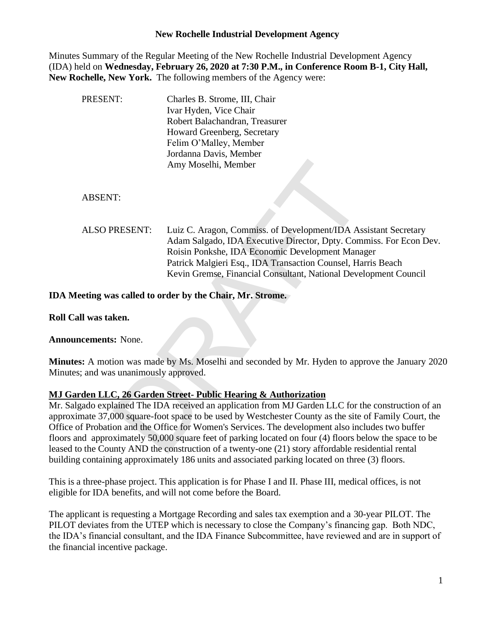#### **New Rochelle Industrial Development Agency**

Minutes Summary of the Regular Meeting of the New Rochelle Industrial Development Agency (IDA) held on **Wednesday, February 26, 2020 at 7:30 P.M., in Conference Room B-1, City Hall, New Rochelle, New York.** The following members of the Agency were:

| PRESENT:                          | Charles B. Strome, III, Chair<br>Ivar Hyden, Vice Chair<br>Robert Balachandran, Treasurer<br>Howard Greenberg, Secretary<br>Felim O'Malley, Member<br>Jordanna Davis, Member<br>Amy Moselhi, Member                                                                                                                                                                                                                                                                                                |
|-----------------------------------|----------------------------------------------------------------------------------------------------------------------------------------------------------------------------------------------------------------------------------------------------------------------------------------------------------------------------------------------------------------------------------------------------------------------------------------------------------------------------------------------------|
| <b>ABSENT:</b>                    |                                                                                                                                                                                                                                                                                                                                                                                                                                                                                                    |
| <b>ALSO PRESENT:</b>              | Luiz C. Aragon, Commiss. of Development/IDA Assistant Secretary<br>Adam Salgado, IDA Executive Director, Dpty. Commiss. For Econ Dev.<br>Roisin Ponkshe, IDA Economic Development Manager<br>Patrick Malgieri Esq., IDA Transaction Counsel, Harris Beach<br>Kevin Gremse, Financial Consultant, National Development Council                                                                                                                                                                      |
|                                   | Ieeting was called to order by the Chair, Mr. Strome.                                                                                                                                                                                                                                                                                                                                                                                                                                              |
| all was taken.                    |                                                                                                                                                                                                                                                                                                                                                                                                                                                                                                    |
| <b>ncements:</b> None.            |                                                                                                                                                                                                                                                                                                                                                                                                                                                                                                    |
| es; and was unanimously approved. | es: A motion was made by Ms. Moselhi and seconded by Mr. Hyden to approve the January 202                                                                                                                                                                                                                                                                                                                                                                                                          |
|                                   | erden LLC, 26 Garden Street-Public Hearing & Authorization                                                                                                                                                                                                                                                                                                                                                                                                                                         |
|                                   | lgado explained The IDA received an application from MJ Garden LLC for the construction of an<br>imate 37,000 square-foot space to be used by Westchester County as the site of Family Court, the<br>of Probation and the Office for Women's Services. The development also includes two buffer<br>and approximately 50,000 square feet of parking located on four (4) floors below the space to be<br>to the County AND the construction of a twenty-one (21) story affordable residential rental |

**IDA Meeting was called to order by the Chair, Mr. Strome.**

**Roll Call was taken.**

**Announcements:** None.

**Minutes:** A motion was made by Ms. Moselhi and seconded by Mr. Hyden to approve the January 2020 Minutes; and was unanimously approved.

#### **MJ Garden LLC, 26 Garden Street- Public Hearing & Authorization**

Mr. Salgado explained The IDA received an application from MJ Garden LLC for the construction of an approximate 37,000 square-foot space to be used by Westchester County as the site of Family Court, the Office of Probation and the Office for Women's Services. The development also includes two buffer floors and approximately 50,000 square feet of parking located on four (4) floors below the space to be leased to the County AND the construction of a twenty-one (21) story affordable residential rental building containing approximately 186 units and associated parking located on three (3) floors.

This is a three-phase project. This application is for Phase I and II. Phase III, medical offices, is not eligible for IDA benefits, and will not come before the Board.

The applicant is requesting a Mortgage Recording and sales tax exemption and a 30-year PILOT. The PILOT deviates from the UTEP which is necessary to close the Company's financing gap. Both NDC, the IDA's financial consultant, and the IDA Finance Subcommittee, have reviewed and are in support of the financial incentive package.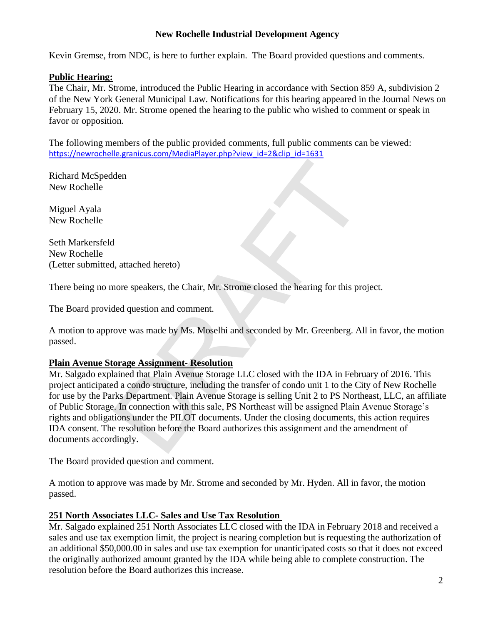## **New Rochelle Industrial Development Agency**

Kevin Gremse, from NDC, is here to further explain. The Board provided questions and comments.

### **Public Hearing:**

The Chair, Mr. Strome, introduced the Public Hearing in accordance with Section 859 A, subdivision 2 of the New York General Municipal Law. Notifications for this hearing appeared in the Journal News on February 15, 2020. Mr. Strome opened the hearing to the public who wished to comment or speak in favor or opposition.

The following members of the public provided comments, full public comments can be viewed: [https://newrochelle.granicus.com/MediaPlayer.php?view\\_id=2&clip\\_id=1631](https://newrochelle.granicus.com/MediaPlayer.php?view_id=2&clip_id=1631)

Richard McSpedden New Rochelle

Miguel Ayala New Rochelle

Seth Markersfeld New Rochelle (Letter submitted, attached hereto)

There being no more speakers, the Chair, Mr. Strome closed the hearing for this project.

The Board provided question and comment.

A motion to approve was made by Ms. Moselhi and seconded by Mr. Greenberg. All in favor, the motion passed.

## **Plain Avenue Storage Assignment- Resolution**

Mr. Salgado explained that Plain Avenue Storage LLC closed with the IDA in February of 2016. This project anticipated a condo structure, including the transfer of condo unit 1 to the City of New Rochelle for use by the Parks Department. Plain Avenue Storage is selling Unit 2 to PS Northeast, LLC, an affiliate of Public Storage. In connection with this sale, PS Northeast will be assigned Plain Avenue Storage's rights and obligations under the PILOT documents. Under the closing documents, this action requires IDA consent. The resolution before the Board authorizes this assignment and the amendment of documents accordingly. den<br>
1, attached hereto)<br>
nore speakers, the Chair, Mr. Strome closed the hearing for this pre<br>
led question and comment.<br>
Nowe was made by Ms. Moselhi and seconded by Mr. Greenberg. Al<br>
orage Assignment-Resolution<br>
ained

The Board provided question and comment.

A motion to approve was made by Mr. Strome and seconded by Mr. Hyden. All in favor, the motion passed.

#### **251 North Associates LLC- Sales and Use Tax Resolution**

Mr. Salgado explained 251 North Associates LLC closed with the IDA in February 2018 and received a sales and use tax exemption limit, the project is nearing completion but is requesting the authorization of an additional \$50,000.00 in sales and use tax exemption for unanticipated costs so that it does not exceed the originally authorized amount granted by the IDA while being able to complete construction. The resolution before the Board authorizes this increase.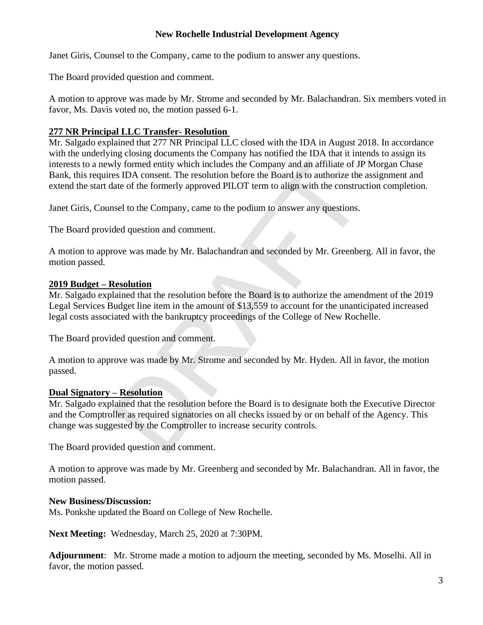## **New Rochelle Industrial Development Agency**

Janet Giris, Counsel to the Company, came to the podium to answer any questions.

The Board provided question and comment.

A motion to approve was made by Mr. Strome and seconded by Mr. Balachandran. Six members voted in favor, Ms. Davis voted no, the motion passed 6-1.

# **277 NR Principal LLC Transfer- Resolution**

Mr. Salgado explained that 277 NR Principal LLC closed with the IDA in August 2018. In accordance with the underlying closing documents the Company has notified the IDA that it intends to assign its interests to a newly formed entity which includes the Company and an affiliate of JP Morgan Chase Bank, this requires IDA consent. The resolution before the Board is to authorize the assignment and extend the start date of the formerly approved PILOT term to align with the construction completion. rly formed entity which includes the Company and an affiliate of JF<br>ss IDA consent. The resolution before the Board is to authorize the<br>ate of the formerly approved PILOT term to align with the constructed<br>state of the for

Janet Giris, Counsel to the Company, came to the podium to answer any questions.

The Board provided question and comment.

A motion to approve was made by Mr. Balachandran and seconded by Mr. Greenberg. All in favor, the motion passed.

#### **2019 Budget – Resolution**

Mr. Salgado explained that the resolution before the Board is to authorize the amendment of the 2019 Legal Services Budget line item in the amount of \$13,559 to account for the unanticipated increased legal costs associated with the bankruptcy proceedings of the College of New Rochelle.

The Board provided question and comment.

A motion to approve was made by Mr. Strome and seconded by Mr. Hyden. All in favor, the motion passed.

## **Dual Signatory – Resolution**

Mr. Salgado explained that the resolution before the Board is to designate both the Executive Director and the Comptroller as required signatories on all checks issued by or on behalf of the Agency. This change was suggested by the Comptroller to increase security controls.

The Board provided question and comment.

A motion to approve was made by Mr. Greenberg and seconded by Mr. Balachandran. All in favor, the motion passed.

#### **New Business/Discussion:**

Ms. Ponkshe updated the Board on College of New Rochelle.

**Next Meeting:** Wednesday, March 25, 2020 at 7:30PM.

**Adjournment**: Mr. Strome made a motion to adjourn the meeting, seconded by Ms. Moselhi. All in favor, the motion passed.